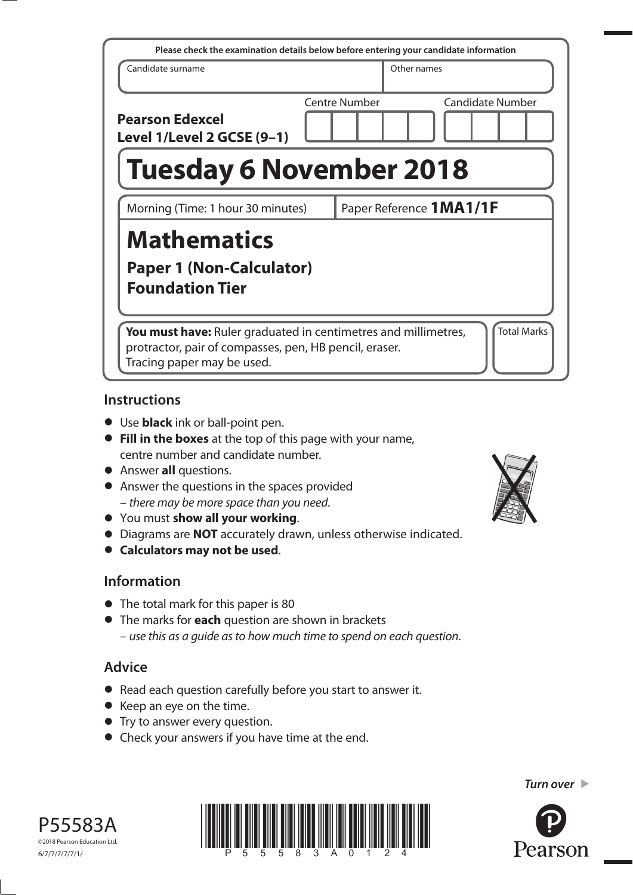| Please check the examination details below before entering your candidate information                                                                  |               |             |                         |
|--------------------------------------------------------------------------------------------------------------------------------------------------------|---------------|-------------|-------------------------|
| Candidate surname                                                                                                                                      |               | Other names |                         |
| <b>Pearson Edexcel</b><br>Level 1/Level 2 GCSE (9-1)                                                                                                   | Centre Number |             | <b>Candidate Number</b> |
| <b>Tuesday 6 November 2018</b>                                                                                                                         |               |             |                         |
| Morning (Time: 1 hour 30 minutes)                                                                                                                      |               |             | Paper Reference 1MA1/1F |
| <b>Mathematics</b><br><b>Paper 1 (Non-Calculator)</b><br><b>Foundation Tier</b>                                                                        |               |             |                         |
| You must have: Ruler graduated in centimetres and millimetres,<br>protractor, pair of compasses, pen, HB pencil, eraser.<br>Tracing paper may be used. |               |             | <b>Total Marks</b>      |

### **Instructions**

- Use **black** ink or ball-point pen.
- **Fill in the boxes** at the top of this page with your name, centre number and candidate number.
- Answer **all** questions.
- Answer the questions in the spaces provided – there may be more space than you need.
- You must **show all your working**.
- Diagrams are **NOT** accurately drawn, unless otherwise indicated.
- **Calculators may not be used**.

## **Information**

- The total mark for this paper is 80
- The marks for **each** question are shown in brackets – use this as a guide as to how much time to spend on each question.

# **Advice**

- Read each question carefully before you start to answer it.
- Keep an eye on the time.
- Try to answer every question.
- Check your answers if you have time at the end.









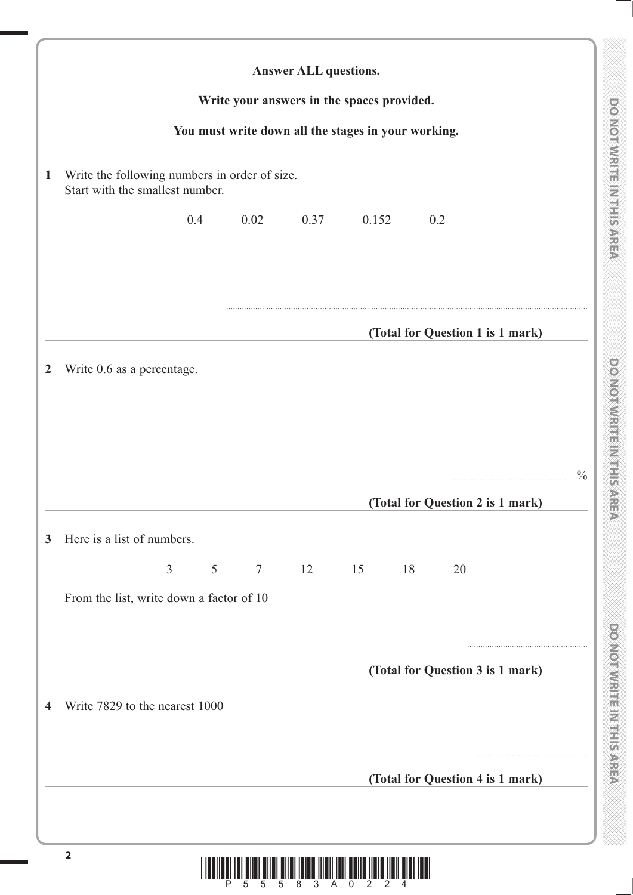|                                  |                                                                                  |                |   |        | <b>Answer ALL questions.</b>                        |       |    |     |                                  |               |
|----------------------------------|----------------------------------------------------------------------------------|----------------|---|--------|-----------------------------------------------------|-------|----|-----|----------------------------------|---------------|
|                                  |                                                                                  |                |   |        | Write your answers in the spaces provided.          |       |    |     |                                  |               |
|                                  |                                                                                  |                |   |        | You must write down all the stages in your working. |       |    |     |                                  |               |
|                                  |                                                                                  |                |   |        |                                                     |       |    |     |                                  |               |
| $\mathbf{1}$                     | Write the following numbers in order of size.<br>Start with the smallest number. |                |   |        |                                                     |       |    |     |                                  |               |
|                                  |                                                                                  | 0.4            |   | 0.02   | 0.37                                                | 0.152 |    | 0.2 |                                  |               |
|                                  |                                                                                  |                |   |        |                                                     |       |    |     |                                  |               |
|                                  |                                                                                  |                |   |        |                                                     |       |    |     |                                  |               |
|                                  |                                                                                  |                |   |        |                                                     |       |    |     |                                  |               |
|                                  |                                                                                  |                |   |        |                                                     |       |    |     | (Total for Question 1 is 1 mark) |               |
| $\overline{2}$                   | Write 0.6 as a percentage.                                                       |                |   |        |                                                     |       |    |     |                                  |               |
|                                  |                                                                                  |                |   |        |                                                     |       |    |     |                                  |               |
|                                  |                                                                                  |                |   |        |                                                     |       |    |     |                                  |               |
|                                  |                                                                                  |                |   |        |                                                     |       |    |     |                                  |               |
|                                  |                                                                                  |                |   |        |                                                     |       |    |     |                                  |               |
|                                  |                                                                                  |                |   |        |                                                     |       |    |     |                                  | $\frac{0}{0}$ |
|                                  |                                                                                  |                |   |        |                                                     |       |    |     | (Total for Question 2 is 1 mark) |               |
|                                  | Here is a list of numbers.                                                       |                |   |        |                                                     |       |    |     |                                  |               |
|                                  |                                                                                  | $\mathfrak{Z}$ | 5 | $\tau$ | 12                                                  | 15    | 18 | 20  |                                  |               |
|                                  | From the list, write down a factor of 10                                         |                |   |        |                                                     |       |    |     |                                  |               |
|                                  |                                                                                  |                |   |        |                                                     |       |    |     |                                  |               |
|                                  |                                                                                  |                |   |        |                                                     |       |    |     |                                  |               |
|                                  |                                                                                  |                |   |        |                                                     |       |    |     | (Total for Question 3 is 1 mark) |               |
|                                  | Write 7829 to the nearest 1000                                                   |                |   |        |                                                     |       |    |     |                                  |               |
|                                  |                                                                                  |                |   |        |                                                     |       |    |     |                                  |               |
| $\mathbf{3}$<br>$\boldsymbol{4}$ |                                                                                  |                |   |        |                                                     |       |    |     | (Total for Question 4 is 1 mark) |               |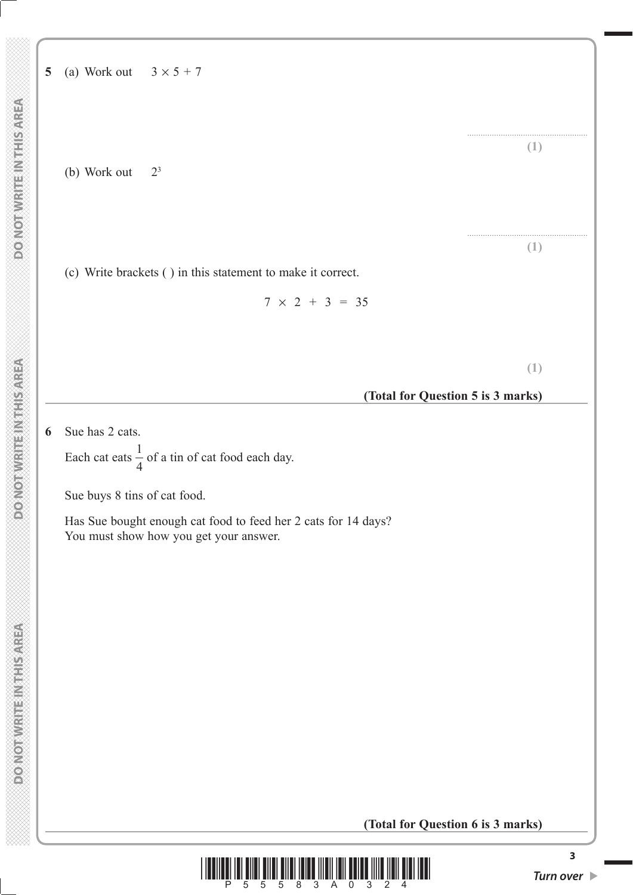(b) Work out  $2^3$ 

(c) Write brackets ( ) in this statement to make it correct.

$$
7 \times 2 + 3 = 35
$$

**(1)**

...................................................... **(1)**

...................................................... **(1)**

#### **(Total for Question 5 is 3 marks)**

**6** Sue has 2 cats.

Each cat eats  $\frac{1}{4}$ 4 of a tin of cat food each day.

Sue buys 8 tins of cat food.

 Has Sue bought enough cat food to feed her 2 cats for 14 days? You must show how you get your answer.

**(Total for Question 6 is 3 marks)**

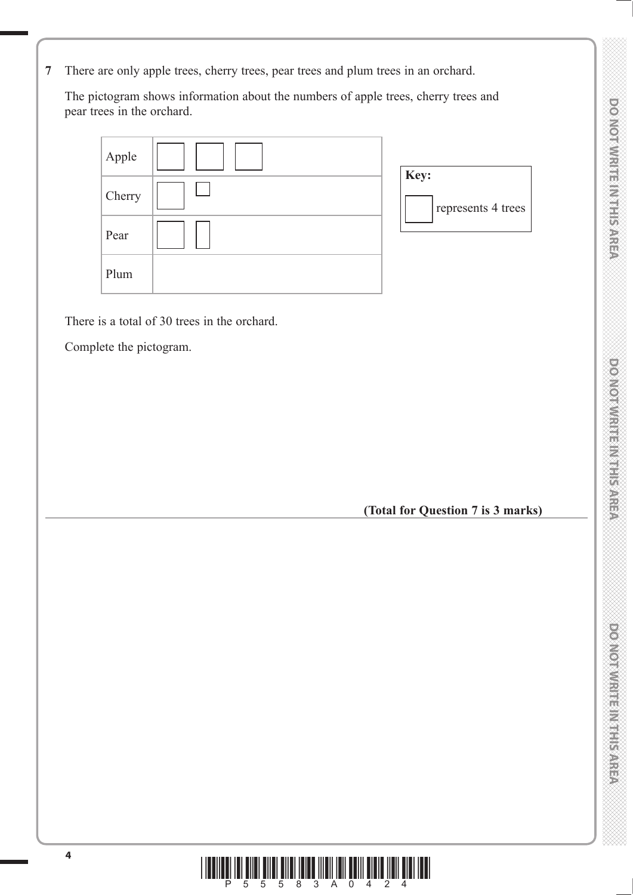**7** There are only apple trees, cherry trees, pear trees and plum trees in an orchard.

 The pictogram shows information about the numbers of apple trees, cherry trees and pear trees in the orchard.



There is a total of 30 trees in the orchard.

Complete the pictogram.

**(Total for Question 7 is 3 marks)**

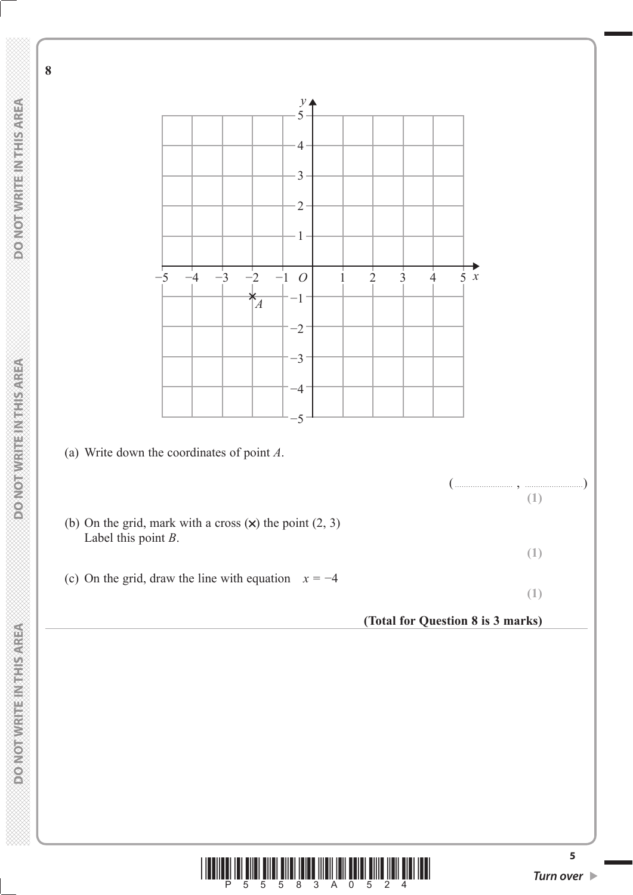

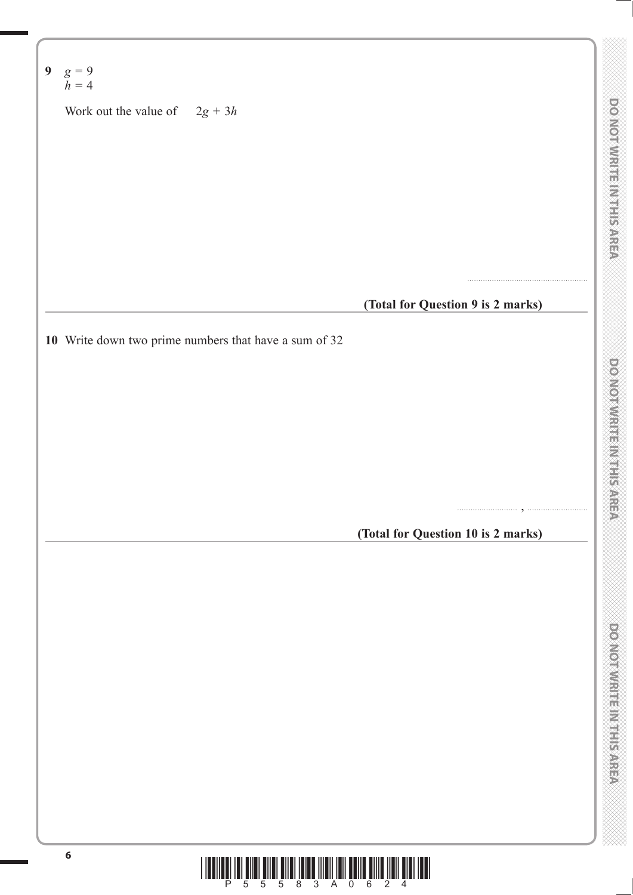| 9 $g = 9$<br>$h = 4$                                                                                                                                                                                                                                                                                                                                                                                                                                                              |
|-----------------------------------------------------------------------------------------------------------------------------------------------------------------------------------------------------------------------------------------------------------------------------------------------------------------------------------------------------------------------------------------------------------------------------------------------------------------------------------|
| Work out the value of $2g + 3h$                                                                                                                                                                                                                                                                                                                                                                                                                                                   |
|                                                                                                                                                                                                                                                                                                                                                                                                                                                                                   |
|                                                                                                                                                                                                                                                                                                                                                                                                                                                                                   |
|                                                                                                                                                                                                                                                                                                                                                                                                                                                                                   |
|                                                                                                                                                                                                                                                                                                                                                                                                                                                                                   |
|                                                                                                                                                                                                                                                                                                                                                                                                                                                                                   |
| (Total for Question 9 is 2 marks)                                                                                                                                                                                                                                                                                                                                                                                                                                                 |
| 10 Write down two prime numbers that have a sum of 32                                                                                                                                                                                                                                                                                                                                                                                                                             |
|                                                                                                                                                                                                                                                                                                                                                                                                                                                                                   |
|                                                                                                                                                                                                                                                                                                                                                                                                                                                                                   |
|                                                                                                                                                                                                                                                                                                                                                                                                                                                                                   |
|                                                                                                                                                                                                                                                                                                                                                                                                                                                                                   |
|                                                                                                                                                                                                                                                                                                                                                                                                                                                                                   |
| (Total for Question 10 is 2 marks)                                                                                                                                                                                                                                                                                                                                                                                                                                                |
|                                                                                                                                                                                                                                                                                                                                                                                                                                                                                   |
|                                                                                                                                                                                                                                                                                                                                                                                                                                                                                   |
|                                                                                                                                                                                                                                                                                                                                                                                                                                                                                   |
|                                                                                                                                                                                                                                                                                                                                                                                                                                                                                   |
|                                                                                                                                                                                                                                                                                                                                                                                                                                                                                   |
|                                                                                                                                                                                                                                                                                                                                                                                                                                                                                   |
|                                                                                                                                                                                                                                                                                                                                                                                                                                                                                   |
|                                                                                                                                                                                                                                                                                                                                                                                                                                                                                   |
|                                                                                                                                                                                                                                                                                                                                                                                                                                                                                   |
|                                                                                                                                                                                                                                                                                                                                                                                                                                                                                   |
| $\boldsymbol{6}$<br>$\begin{array}{c} \text{if} \ \text{if} \ \text{if} \ \text{if} \ \text{if} \ \text{if} \ \text{if} \ \text{if} \ \text{if} \ \text{if} \ \text{if} \ \text{if} \ \text{if} \ \text{if} \ \text{if} \ \text{if} \ \text{if} \ \text{if} \ \text{if} \ \text{if} \ \text{if} \ \text{if} \ \text{if} \ \text{if} \ \text{if} \ \text{if} \ \text{if} \ \text{if} \ \text{if} \ \text{if} \ \text{if} \ \text{if} \ \text{if} \ \text{if} \ \text{if} \ \text{$ |

**DO NOTIVISTIE IN EERSTER** 

DO NOT WRITE IN THIS AREA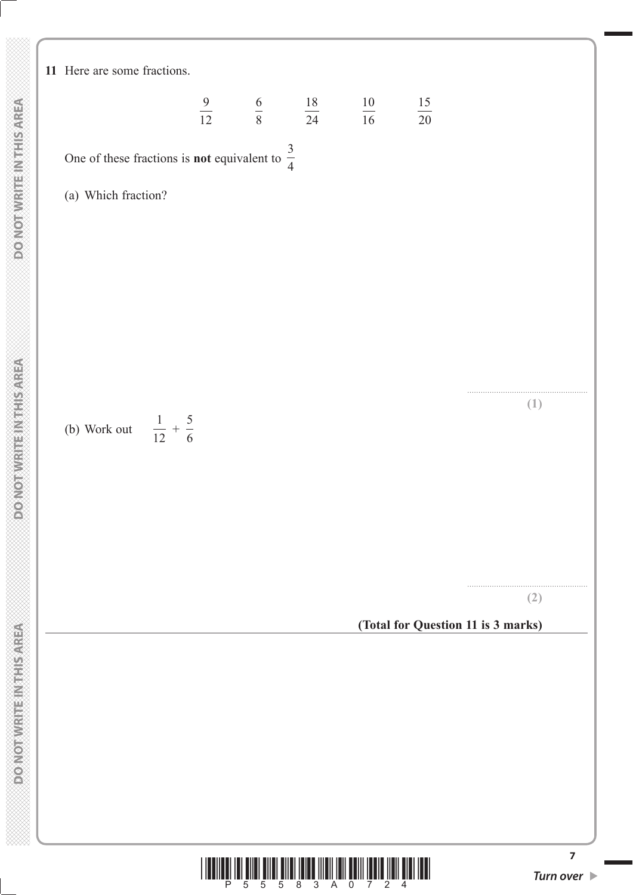| 11 Here are some fractions.               |                                                                  |  |                                                                              |                                    |
|-------------------------------------------|------------------------------------------------------------------|--|------------------------------------------------------------------------------|------------------------------------|
|                                           |                                                                  |  |                                                                              |                                    |
|                                           |                                                                  |  | $\frac{9}{12}$ $\frac{6}{8}$ $\frac{18}{24}$ $\frac{10}{16}$ $\frac{15}{20}$ |                                    |
|                                           |                                                                  |  |                                                                              |                                    |
|                                           |                                                                  |  |                                                                              |                                    |
|                                           | One of these fractions is <b>not</b> equivalent to $\frac{3}{4}$ |  |                                                                              |                                    |
|                                           |                                                                  |  |                                                                              |                                    |
| (a) Which fraction?                       |                                                                  |  |                                                                              |                                    |
|                                           |                                                                  |  |                                                                              |                                    |
|                                           |                                                                  |  |                                                                              |                                    |
|                                           |                                                                  |  |                                                                              |                                    |
|                                           |                                                                  |  |                                                                              |                                    |
|                                           |                                                                  |  |                                                                              |                                    |
|                                           |                                                                  |  |                                                                              |                                    |
|                                           |                                                                  |  |                                                                              |                                    |
|                                           |                                                                  |  |                                                                              |                                    |
|                                           |                                                                  |  |                                                                              |                                    |
|                                           |                                                                  |  |                                                                              | (1)                                |
| (b) Work out $\frac{1}{12} + \frac{5}{6}$ |                                                                  |  |                                                                              |                                    |
|                                           |                                                                  |  |                                                                              |                                    |
|                                           |                                                                  |  |                                                                              |                                    |
|                                           |                                                                  |  |                                                                              |                                    |
|                                           |                                                                  |  |                                                                              |                                    |
|                                           |                                                                  |  |                                                                              |                                    |
|                                           |                                                                  |  |                                                                              |                                    |
|                                           |                                                                  |  |                                                                              |                                    |
|                                           |                                                                  |  |                                                                              |                                    |
|                                           |                                                                  |  |                                                                              | (2)                                |
|                                           |                                                                  |  |                                                                              | (Total for Question 11 is 3 marks) |
|                                           |                                                                  |  |                                                                              |                                    |
|                                           |                                                                  |  |                                                                              |                                    |
|                                           |                                                                  |  |                                                                              |                                    |
|                                           |                                                                  |  |                                                                              |                                    |
|                                           |                                                                  |  |                                                                              |                                    |
|                                           |                                                                  |  |                                                                              |                                    |
|                                           |                                                                  |  |                                                                              |                                    |
|                                           |                                                                  |  |                                                                              |                                    |
|                                           |                                                                  |  |                                                                              |                                    |
|                                           |                                                                  |  |                                                                              |                                    |
|                                           |                                                                  |  |                                                                              | $\overline{\mathbf{z}}$            |

 **DO NOT WRITE IN THIS AREA DO NOT WRITE IN THIS AREA DO NOT WRITE IN THIS AREA DO NOT WRITE IN THIS AREA DO NOT WRITE IN THIS AREA DO NOT WRITE IN THIS AREA DO NOT WRITE IN THIS AREA DO NOT WRITE IN THIS AREA DO NOT WRITE** 

**CONCOT WRITE IN THIS AREA** 

**DO NOTWRITE IN THIS AREA** 

DO NOT WRITE IN THIS AREA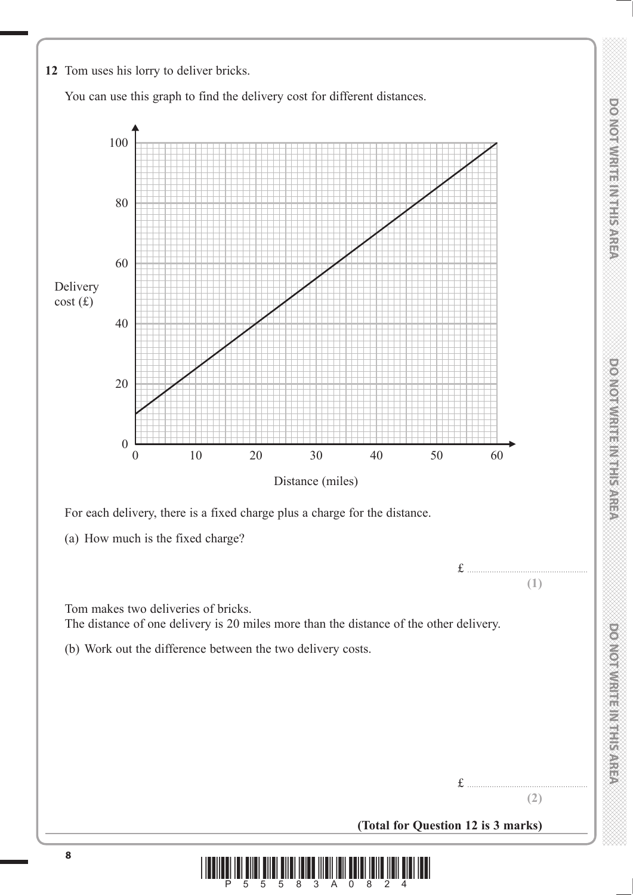DO NOTWRITE IN THIS AREA

**12** Tom uses his lorry to deliver bricks.

You can use this graph to find the delivery cost for different distances.

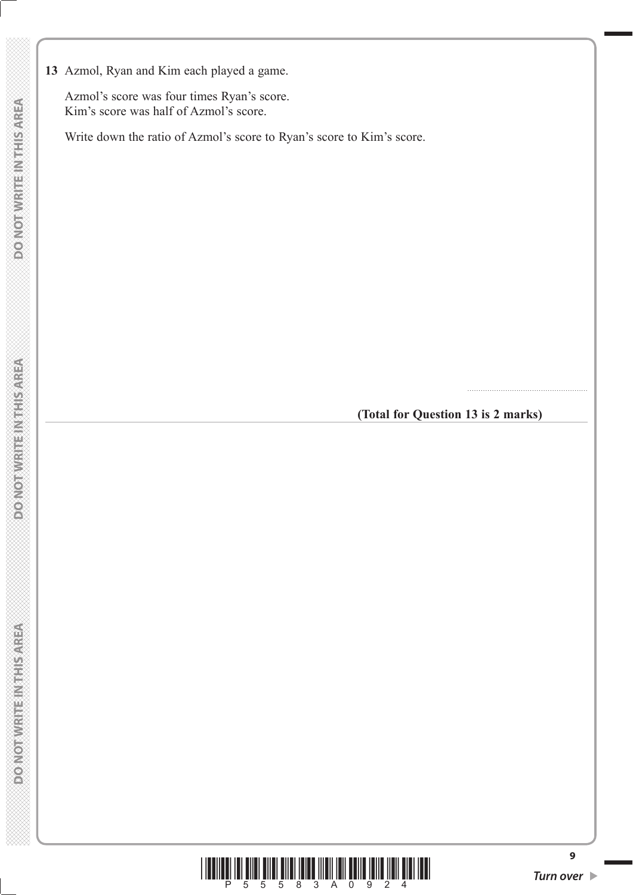**13** Azmol, Ryan and Kim each played a game.

 Azmol's score was four times Ryan's score. Kim's score was half of Azmol's score.

Write down the ratio of Azmol's score to Ryan's score to Kim's score.

**(Total for Question 13 is 2 marks)**

......................................................



**9**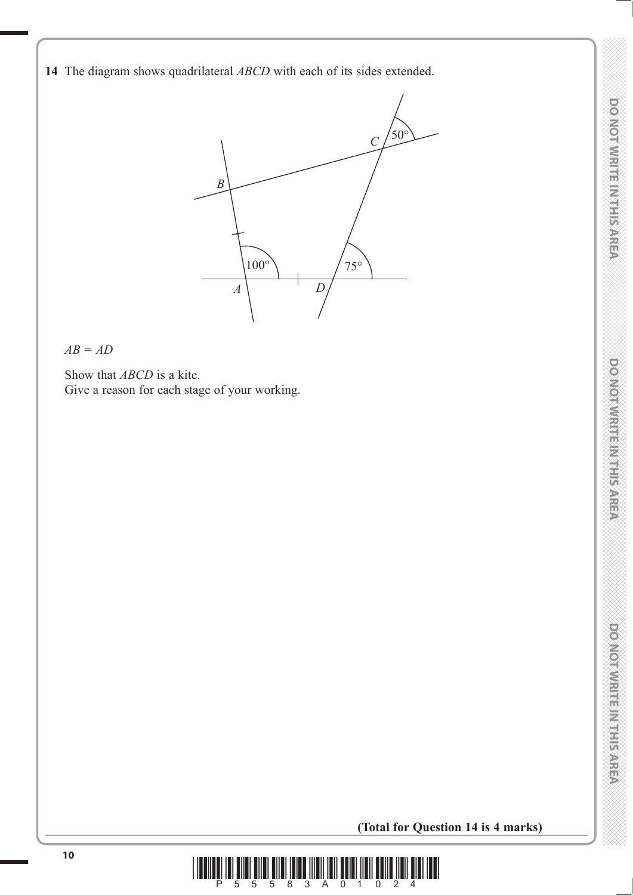**DONOTWRITE MITHSAREA** 

**14** The diagram shows quadrilateral *ABCD* with each of its sides extended.



### *AB* = *AD*

 Show that *ABCD* is a kite. Give a reason for each stage of your working.

**(Total for Question 14 is 4 marks)**

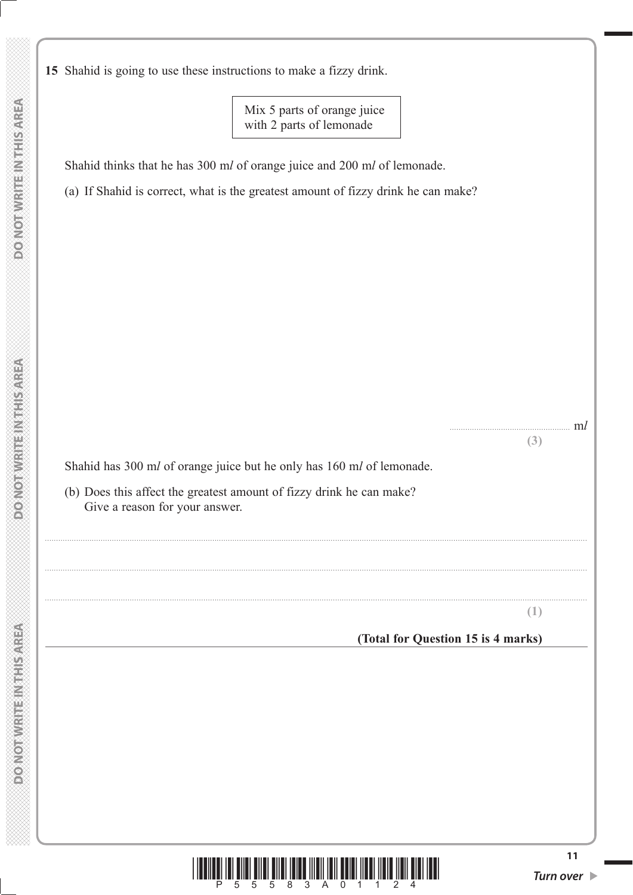**DOMOT WRITEN HIS WREA** 

 **DO NOT WRITE IN THIS AREA DO NOT WRITE IN THIS AREA DO NOT WRITE IN THIS AREA DO NOT WRITE IN THIS AREA DO NOT WRITE IN THIS AREA DO NOT WRITE IN THIS AREA DO NOT WRITE IN THIS AREA DO NOT WRITE IN THIS AREA DO NOT WRITE MONOTWRITEIN THIS AREA**  **15** Shahid is going to use these instructions to make a fizzy drink.

Mix 5 parts of orange juice with 2 parts of lemonade

Shahid thinks that he has 300 m*l* of orange juice and 200 m*l* of lemonade.

(a) If Shahid is correct, what is the greatest amount of fizzy drink he can make?

Shahid has 300 m*l* of orange juice but he only has 160 m*l* of lemonade.

 (b) Does this affect the greatest amount of fizzy drink he can make? Give a reason for your answer.

**(1)**

...................................................... m*l*

**(3)**

**(Total for Question 15 is 4 marks)**



...................................................................................................................................................................................................................................................

...................................................................................................................................................................................................................................................

...................................................................................................................................................................................................................................................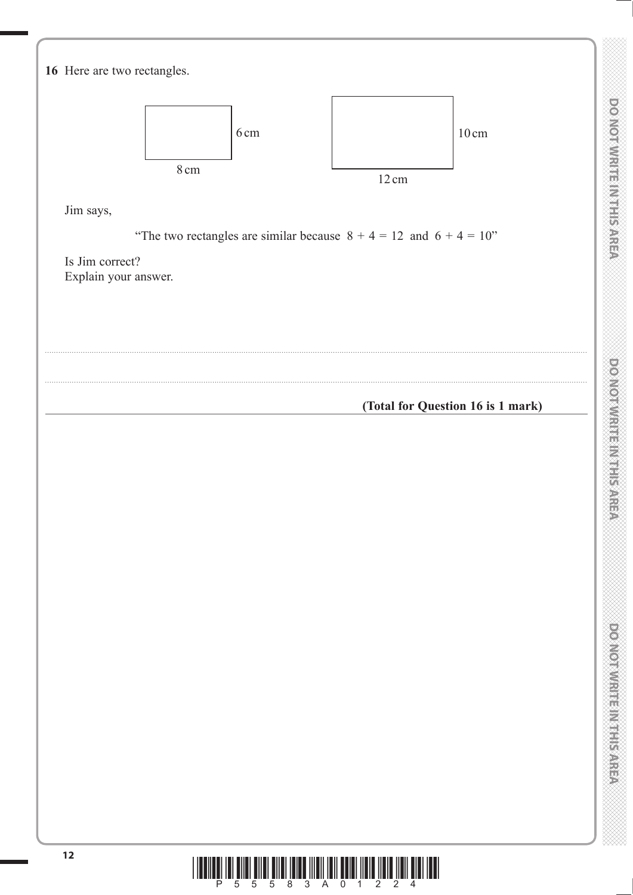

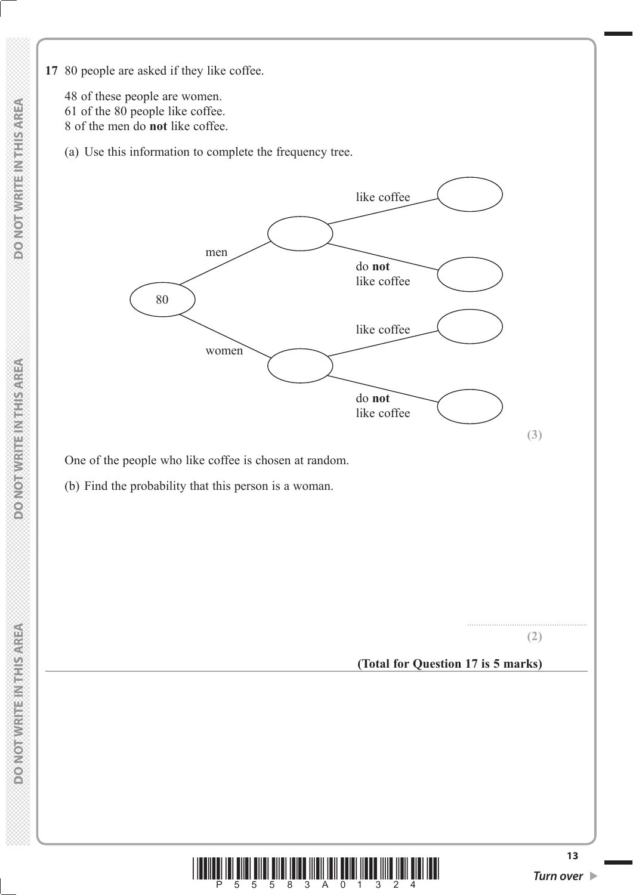- **17** 80 people are asked if they like coffee.
	- 48 of these people are women. 61 of the 80 people like coffee.
	- 8 of the men do **not** like coffee.
	- (a) Use this information to complete the frequency tree.



One of the people who like coffee is chosen at random.

(b) Find the probability that this person is a woman.

...................................................... **(2)**

**(Total for Question 17 is 5 marks)**

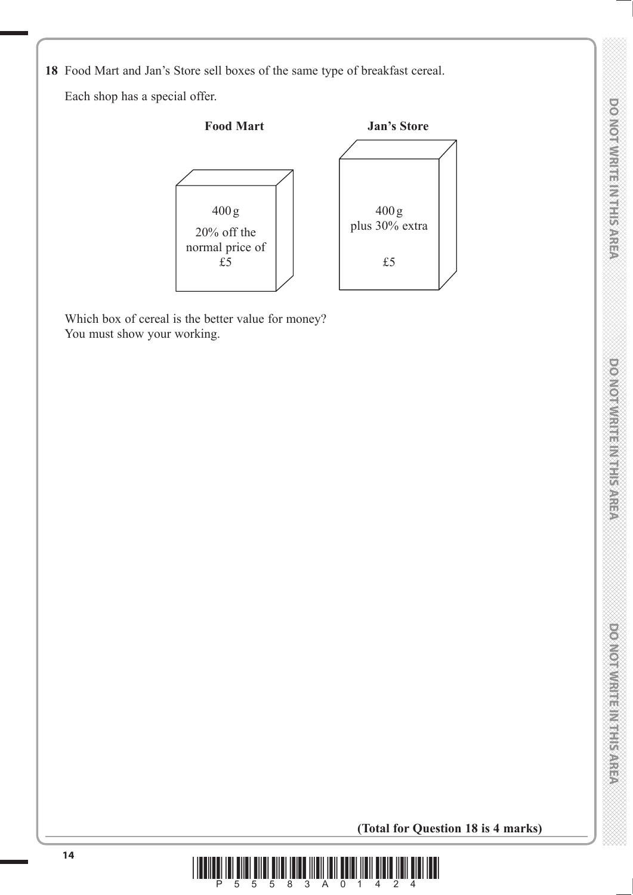**18** Food Mart and Jan's Store sell boxes of the same type of breakfast cereal.

Each shop has a special offer.



 Which box of cereal is the better value for money? You must show your working.

**(Total for Question 18 is 4 marks)**

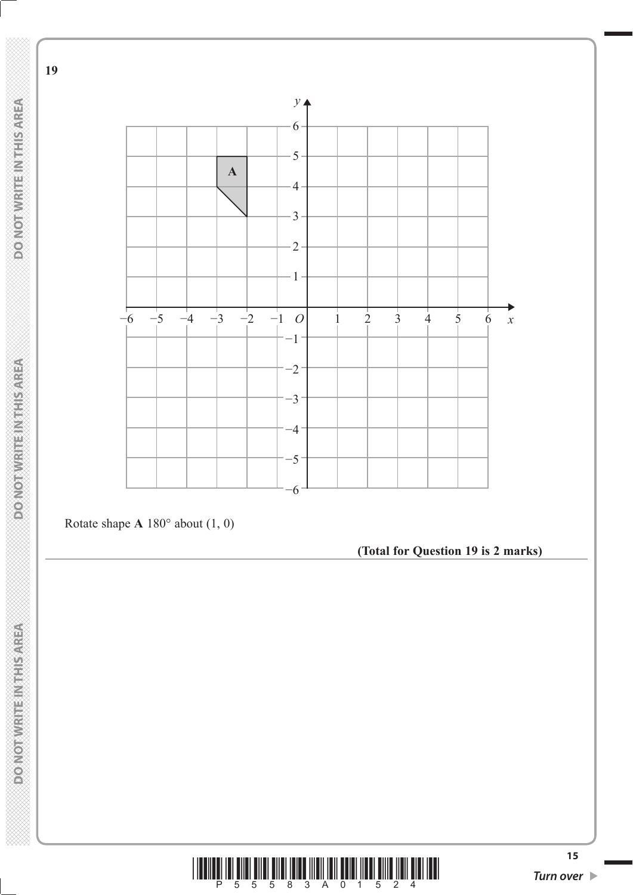**DO NOT WRITE IN THIS AREA** 

**19**



Rotate shape **A** 180° about (1, 0)

**(Total for Question 19 is 2 marks)**

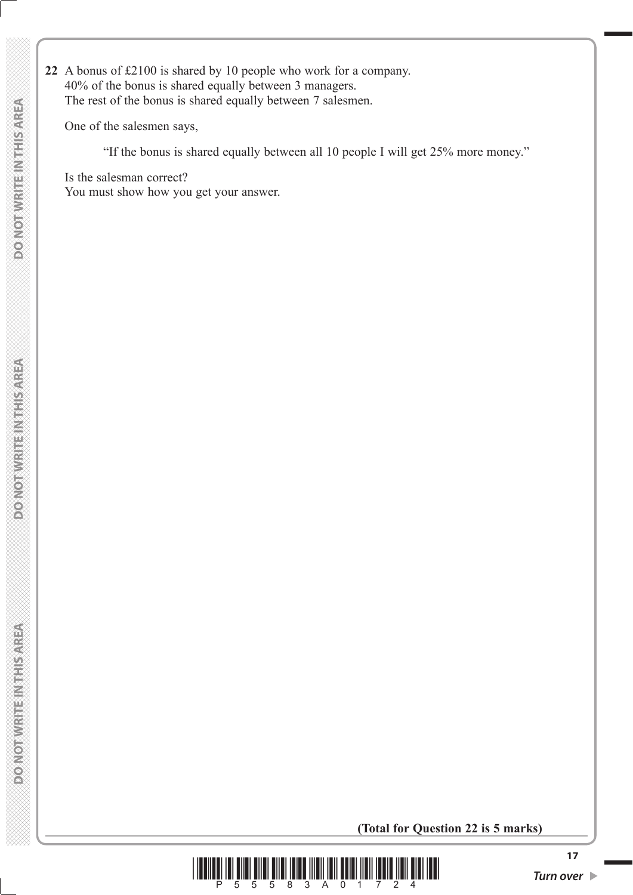**22** A bonus of £2100 is shared by 10 people who work for a company. 40% of the bonus is shared equally between 3 managers. The rest of the bonus is shared equally between 7 salesmen.

One of the salesmen says,

"If the bonus is shared equally between all 10 people I will get 25% more money."

 Is the salesman correct? You must show how you get your answer.

**(Total for Question 22 is 5 marks)**

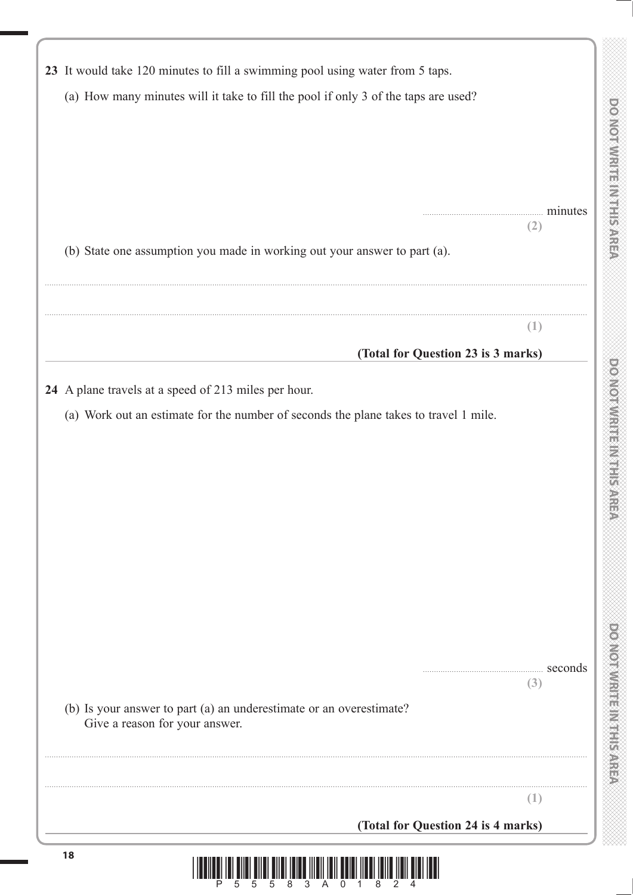| 23 It would take 120 minutes to fill a swimming pool using water from 5 taps.                         |                |
|-------------------------------------------------------------------------------------------------------|----------------|
| (a) How many minutes will it take to fill the pool if only 3 of the taps are used?                    |                |
|                                                                                                       | minutes        |
| (b) State one assumption you made in working out your answer to part (a).                             | (2)            |
|                                                                                                       | $(\bot)$       |
| (Total for Question 23 is 3 marks)                                                                    |                |
| 24 A plane travels at a speed of 213 miles per hour.                                                  |                |
|                                                                                                       |                |
|                                                                                                       | seconds<br>(3) |
| (b) Is your answer to part (a) an underestimate or an overestimate?<br>Give a reason for your answer. |                |
|                                                                                                       | (1)            |
| (Total for Question 24 is 4 marks)                                                                    |                |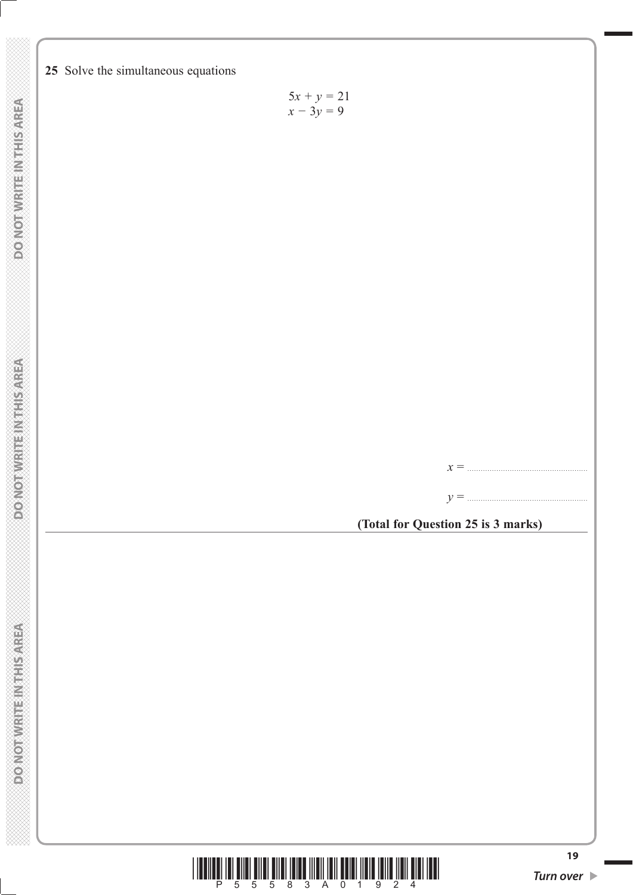**25** Solve the simultaneous equations

 $5x + y = 21$  $x - 3y = 9$ 



*x* = ......................................................

*y* = ......................................................

**(Total for Question 25 is 3 marks)**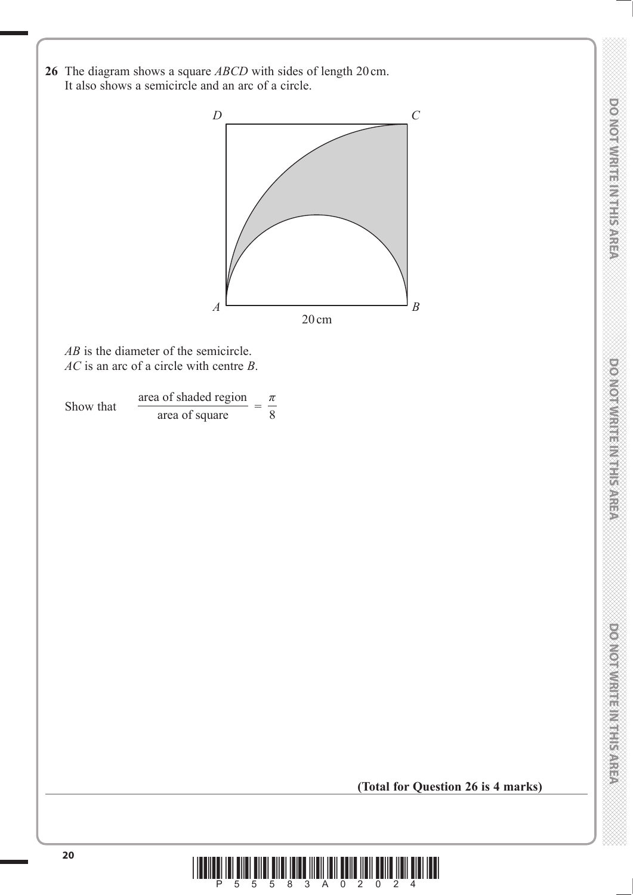**26** The diagram shows a square *ABCD* with sides of length 20 cm. It also shows a semicircle and an arc of a circle.



*AB* is the diameter of the semicircle. *AC* is an arc of a circle with centre *B*.

Show that  $\frac{\text{area of shaded region}}{}$ area of square *π*



DO NOTWRITE IN THIS AREA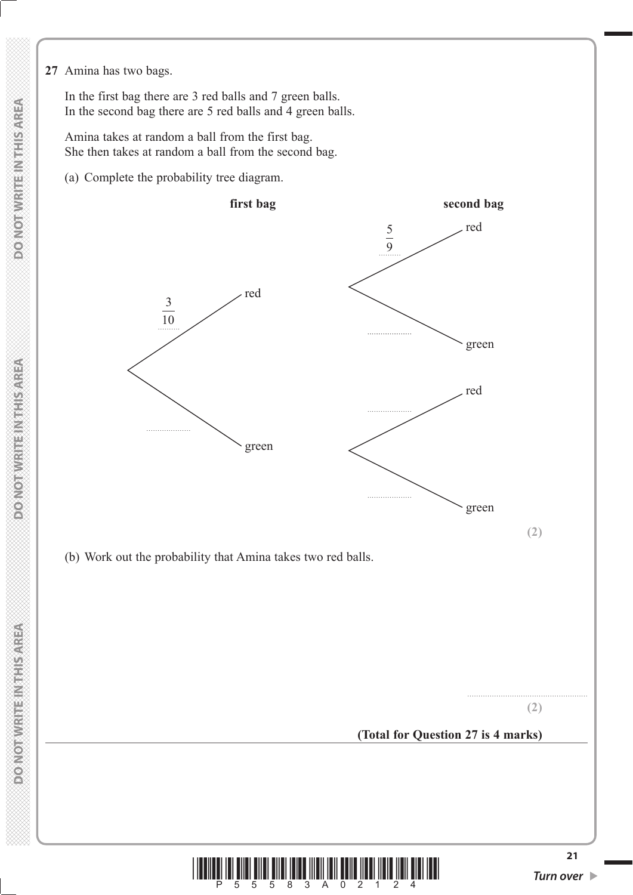**27** Amina has two bags.

 In the first bag there are 3 red balls and 7 green balls. In the second bag there are 5 red balls and 4 green balls.

 Amina takes at random a ball from the first bag. She then takes at random a ball from the second bag.

(a) Complete the probability tree diagram.



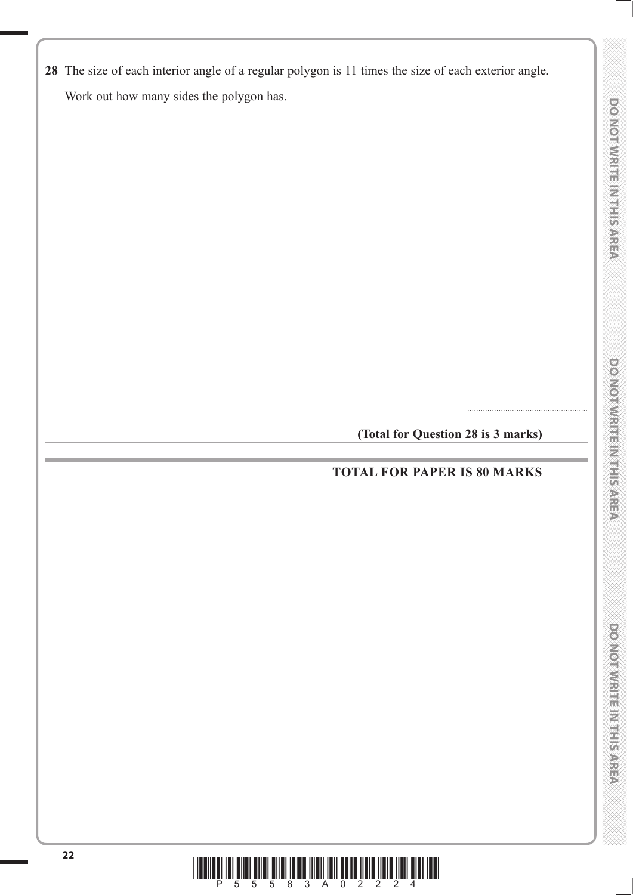**28** The size of each interior angle of a regular polygon is 11 times the size of each exterior angle. Work out how many sides the polygon has.

**(Total for Question 28 is 3 marks)**

......................................................

# **TOTAL FOR PAPER IS 80 MARKS**

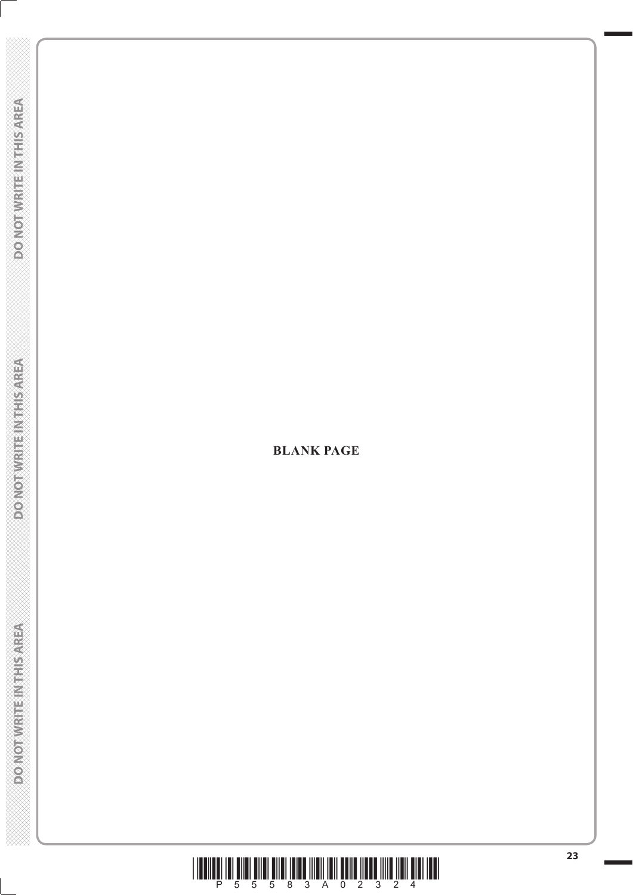**BLANK PAGE**